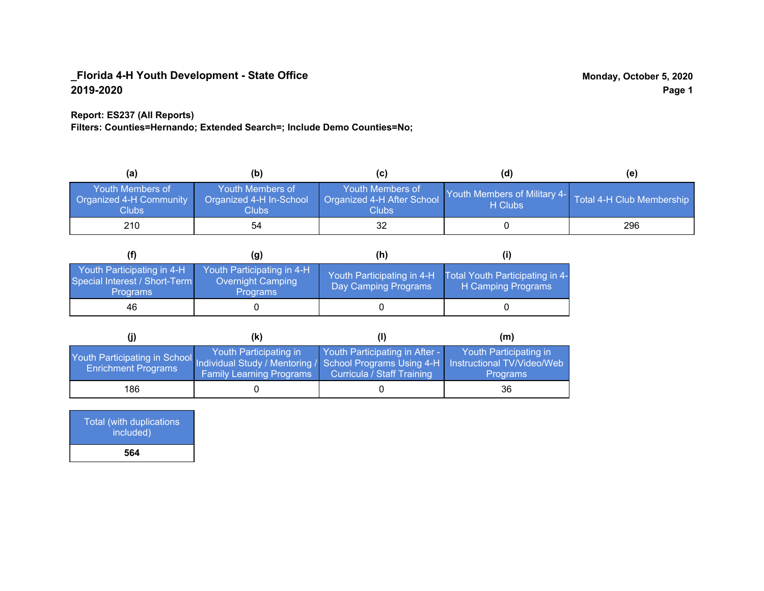### **Report: ES237 (All Reports)**

**Filters: Counties=Hernando; Extended Search=; Include Demo Counties=No;**

| (a)                                                         | (b)                                                  | (C)                                                       | (d)                                     | (e)                       |
|-------------------------------------------------------------|------------------------------------------------------|-----------------------------------------------------------|-----------------------------------------|---------------------------|
| Youth Members of<br><b>Organized 4-H Community</b><br>Clubs | Youth Members of<br>Organized 4-H In-School<br>Clubs | Youth Members of<br>Organized 4-H After School<br>Clubs : | Youth Members of Military 4-<br>H Clubs | Total 4-H Club Membership |
| 210                                                         | 54                                                   |                                                           |                                         | 296                       |

|                                                                                | (g)                                                                       | (h)                                                 |                                                       |
|--------------------------------------------------------------------------------|---------------------------------------------------------------------------|-----------------------------------------------------|-------------------------------------------------------|
| Youth Participating in 4-H<br>Special Interest / Short-Term<br><b>Programs</b> | Youth Participating in 4-H<br><b>Overnight Camping</b><br><b>Programs</b> | Youth Participating in 4-H,<br>Day Camping Programs | Total Youth Participating in 4-<br>H Camping Programs |
| 46                                                                             |                                                                           |                                                     |                                                       |

|                                                                                                                                                 | (K)                                                       |                                                              | (m)                                       |
|-------------------------------------------------------------------------------------------------------------------------------------------------|-----------------------------------------------------------|--------------------------------------------------------------|-------------------------------------------|
| Youth Participating in School Individual Study / Mentoring / School Programs Using 4-H Instructional TV/Video/Web<br><b>Enrichment Programs</b> | Youth Participating in<br><b>Family Learning Programs</b> | Youth Participating in After -<br>Curricula / Staff Training | Youth Participating in<br><b>Programs</b> |
| 186                                                                                                                                             |                                                           |                                                              | 36                                        |

Total (with duplications included) **564**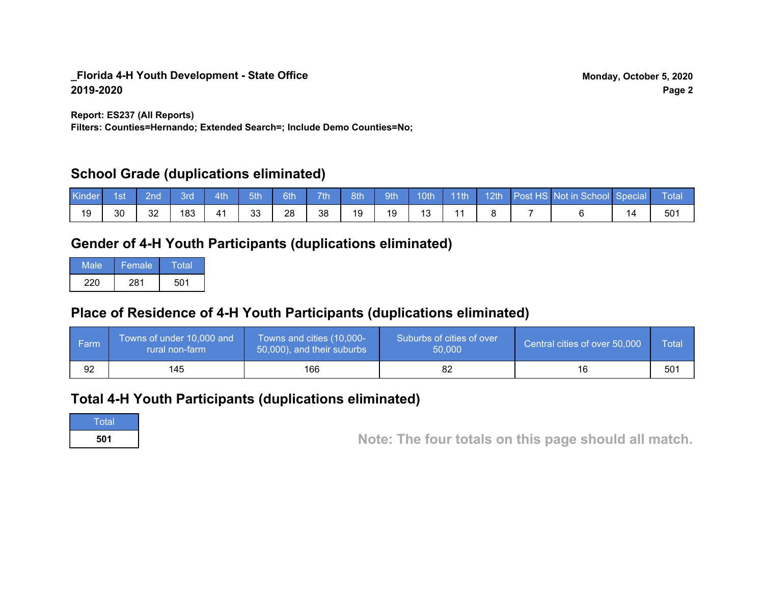**Report: ES237 (All Reports)**

**Filters: Counties=Hernando; Extended Search=; Include Demo Counties=No;**

## **School Grade (duplications eliminated)**

| Kinder | 1st | 2nd' | 3rd | 4th | 5th | 6th | 7 <sup>th</sup> | 8th | 9th | 10 <sub>th</sub> | $\parallel$ 11th | $\parallel$ 12th | Post HS Not in School Special | <b>Total</b> |
|--------|-----|------|-----|-----|-----|-----|-----------------|-----|-----|------------------|------------------|------------------|-------------------------------|--------------|
| 19     | 30  | 32   | 183 | 41  | 33  | 28  | 38              | 19  | 19  | $\Delta$         |                  |                  |                               | 50٬          |

## **Gender of 4-H Youth Participants (duplications eliminated)**

| Male | Female | Total |
|------|--------|-------|
| 220  | 281    | 501   |

# **Place of Residence of 4-H Youth Participants (duplications eliminated)**

| l Farm | Towns of under 10,000 and<br>rural non-farm | Towns and cities (10,000-<br>50,000), and their suburbs | Suburbs of cities of over<br>50,000 | Central cities of over 50,000 | Total |
|--------|---------------------------------------------|---------------------------------------------------------|-------------------------------------|-------------------------------|-------|
| 92     | 145                                         | 166                                                     |                                     | 16                            | 501   |

## **Total 4-H Youth Participants (duplications eliminated)**

**Total** 

**<sup>501</sup> Note: The four totals on this page should all match.**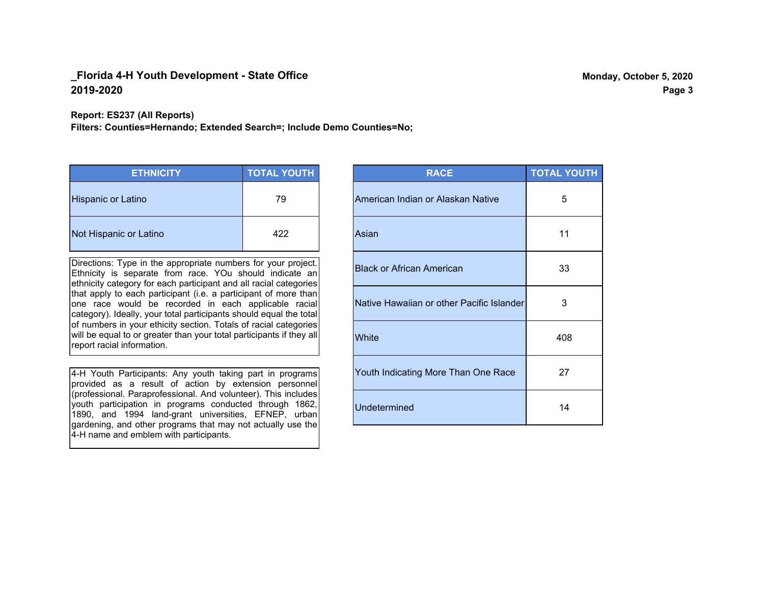### **Report: ES237 (All Reports)**

**Filters: Counties=Hernando; Extended Search=; Include Demo Counties=No;**

| <b>ETHNICITY</b>          | <b>TOTAL YOUTH</b> |
|---------------------------|--------------------|
| <b>Hispanic or Latino</b> | 79                 |
| Not Hispanic or Latino    | 422                |

Directions: Type in the appropriate numbers for your project. Ethnicity is separate from race. YOu should indicate an ethnicity category for each participant and all racial categories that apply to each participant (i.e. a participant of more than one race would be recorded in each applicable racial category). Ideally, your total participants should equal the total of numbers in your ethicity section. Totals of racial categories will be equal to or greater than your total participants if they all report racial information.

4-H Youth Participants: Any youth taking part in programs provided as a result of action by extension personnel (professional. Paraprofessional. And volunteer). This includes youth participation in programs conducted through 1862, 1890, and 1994 land-grant universities, EFNEP, urban gardening, and other programs that may not actually use the 4-H name and emblem with participants.

| <b>RACE</b>                               | <b>TOTAL YOUTH</b> |
|-------------------------------------------|--------------------|
| American Indian or Alaskan Native         | 5                  |
| Asian                                     | 11                 |
| <b>Black or African American</b>          | 33                 |
| Native Hawaiian or other Pacific Islander | 3                  |
| White                                     | 408                |
| Youth Indicating More Than One Race       | 27                 |
| <b>Undetermined</b>                       | 14                 |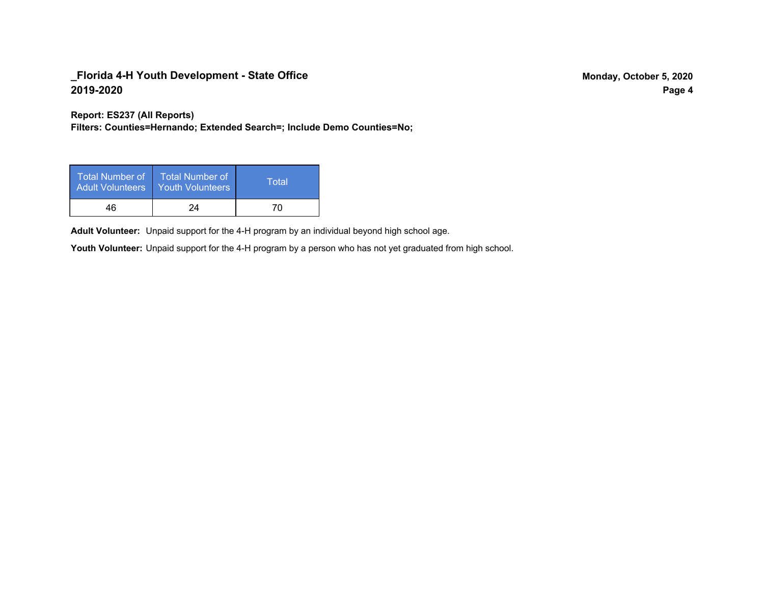**Report: ES237 (All Reports)**

**Filters: Counties=Hernando; Extended Search=; Include Demo Counties=No;**

| Total Number of<br><b>Adult Volunteers</b> | <b>Total Number of</b><br><b>Youth Volunteers</b> | Total |
|--------------------------------------------|---------------------------------------------------|-------|
| 46                                         | 24                                                | 70    |

Adult Volunteer: Unpaid support for the 4-H program by an individual beyond high school age.

Youth Volunteer: Unpaid support for the 4-H program by a person who has not yet graduated from high school.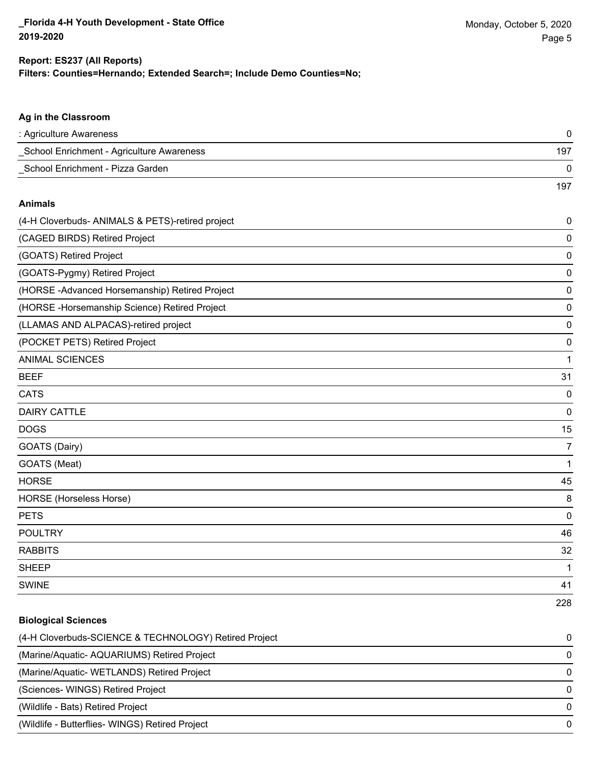|  | Filters: Counties=Hernando; Extended Search=; Include Demo Counties=No; |  |  |  |
|--|-------------------------------------------------------------------------|--|--|--|
|  |                                                                         |  |  |  |

| Ag in the Classroom                              |             |
|--------------------------------------------------|-------------|
| : Agriculture Awareness                          | 0           |
| _School Enrichment - Agriculture Awareness       | 197         |
| _School Enrichment - Pizza Garden                | $\mathbf 0$ |
|                                                  | 197         |
| <b>Animals</b>                                   |             |
| (4-H Cloverbuds- ANIMALS & PETS)-retired project | 0           |
| (CAGED BIRDS) Retired Project                    | $\mathbf 0$ |
| (GOATS) Retired Project                          | 0           |
| (GOATS-Pygmy) Retired Project                    | 0           |
| (HORSE-Advanced Horsemanship) Retired Project    | $\mathbf 0$ |
| (HORSE - Horsemanship Science) Retired Project   | 0           |
| (LLAMAS AND ALPACAS)-retired project             | $\mathbf 0$ |
| (POCKET PETS) Retired Project                    | 0           |
| <b>ANIMAL SCIENCES</b>                           | 1           |
| <b>BEEF</b>                                      | 31          |
| <b>CATS</b>                                      | 0           |
| <b>DAIRY CATTLE</b>                              | 0           |
| <b>DOGS</b>                                      | 15          |
| GOATS (Dairy)                                    | 7           |
| GOATS (Meat)                                     | $\mathbf 1$ |
| <b>HORSE</b>                                     | 45          |
| HORSE (Horseless Horse)                          | 8           |
| <b>PETS</b>                                      | $\mathbf 0$ |
| <b>POULTRY</b>                                   | 46          |
| <b>RABBITS</b>                                   | 32          |
| <b>SHEEP</b>                                     | 1           |
| <b>SWINE</b>                                     | 41          |
|                                                  | 228         |

# **Biological Sciences** (4-H Cloverbuds-SCIENCE & TECHNOLOGY) Retired Project 0 (Marine/Aquatic- AQUARIUMS) Retired Project 0 (Marine/Aquatic- WETLANDS) Retired Project 0 (Sciences- WINGS) Retired Project 0 (Wildlife - Bats) Retired Project 0 (Wildlife - Butterflies- WINGS) Retired Project 0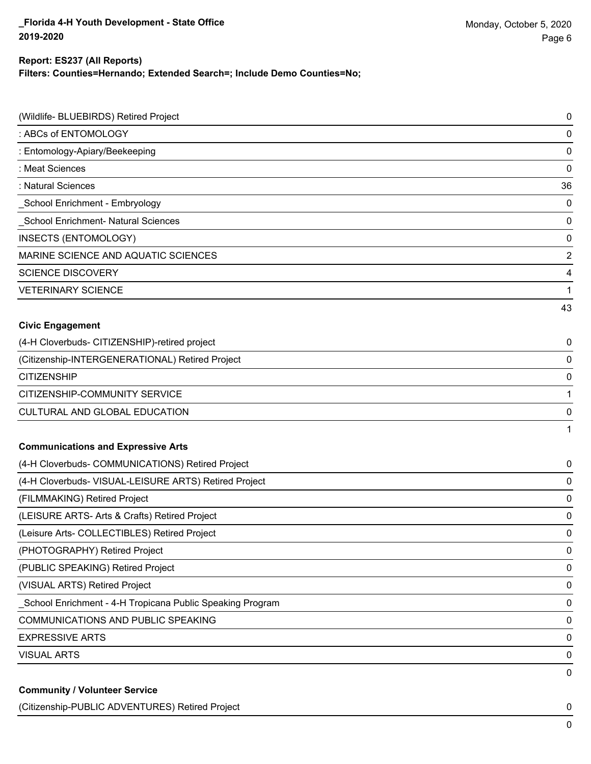**Filters: Counties=Hernando; Extended Search=; Include Demo Counties=No;**

| (Wildlife- BLUEBIRDS) Retired Project                     | 0                       |
|-----------------------------------------------------------|-------------------------|
| : ABCs of ENTOMOLOGY                                      | $\mathbf 0$             |
| : Entomology-Apiary/Beekeeping                            | $\mathbf 0$             |
| : Meat Sciences                                           | 0                       |
| : Natural Sciences                                        | 36                      |
| _School Enrichment - Embryology                           | $\mathbf 0$             |
| School Enrichment- Natural Sciences                       | 0                       |
| INSECTS (ENTOMOLOGY)                                      | $\mathbf 0$             |
| MARINE SCIENCE AND AQUATIC SCIENCES                       | $\overline{\mathbf{c}}$ |
| <b>SCIENCE DISCOVERY</b>                                  | 4                       |
| <b>VETERINARY SCIENCE</b>                                 | 1                       |
|                                                           | 43                      |
| <b>Civic Engagement</b>                                   |                         |
| (4-H Cloverbuds- CITIZENSHIP)-retired project             | 0                       |
| (Citizenship-INTERGENERATIONAL) Retired Project           | 0                       |
| <b>CITIZENSHIP</b>                                        | $\mathbf 0$             |
| CITIZENSHIP-COMMUNITY SERVICE                             | 1                       |
| CULTURAL AND GLOBAL EDUCATION                             | 0                       |
|                                                           | 1                       |
| <b>Communications and Expressive Arts</b>                 |                         |
| (4-H Cloverbuds- COMMUNICATIONS) Retired Project          | 0                       |
| (4-H Cloverbuds- VISUAL-LEISURE ARTS) Retired Project     | 0                       |
| (FILMMAKING) Retired Project                              | 0                       |
| (LEISURE ARTS- Arts & Crafts) Retired Project             | 0                       |
| (Leisure Arts- COLLECTIBLES) Retired Project              | 0                       |
| (PHOTOGRAPHY) Retired Project                             | 0                       |
| (PUBLIC SPEAKING) Retired Project                         | 0                       |
| (VISUAL ARTS) Retired Project                             | 0                       |
| School Enrichment - 4-H Tropicana Public Speaking Program | 0                       |
| COMMUNICATIONS AND PUBLIC SPEAKING                        | 0                       |
| <b>EXPRESSIVE ARTS</b>                                    | 0                       |
| <b>VISUAL ARTS</b>                                        | 0                       |
| <b>Community / Volunteer Service</b>                      | 0                       |

(Citizenship-PUBLIC ADVENTURES) Retired Project 0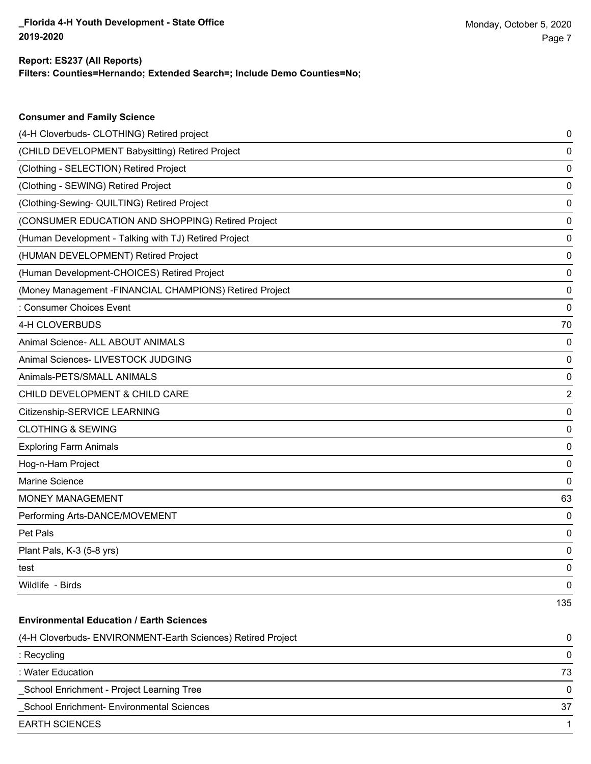**Consumer and Family Science**

**Filters: Counties=Hernando; Extended Search=; Include Demo Counties=No;**

| (4-H Cloverbuds- CLOTHING) Retired project                   | 0   |
|--------------------------------------------------------------|-----|
| (CHILD DEVELOPMENT Babysitting) Retired Project              | 0   |
| (Clothing - SELECTION) Retired Project                       | 0   |
| (Clothing - SEWING) Retired Project                          | 0   |
| (Clothing-Sewing- QUILTING) Retired Project                  | 0   |
| (CONSUMER EDUCATION AND SHOPPING) Retired Project            | 0   |
| (Human Development - Talking with TJ) Retired Project        | 0   |
| (HUMAN DEVELOPMENT) Retired Project                          | 0   |
| (Human Development-CHOICES) Retired Project                  | 0   |
| (Money Management -FINANCIAL CHAMPIONS) Retired Project      | 0   |
| : Consumer Choices Event                                     | 0   |
| 4-H CLOVERBUDS                                               | 70  |
| Animal Science- ALL ABOUT ANIMALS                            | 0   |
| Animal Sciences- LIVESTOCK JUDGING                           | 0   |
| Animals-PETS/SMALL ANIMALS                                   | 0   |
| CHILD DEVELOPMENT & CHILD CARE                               | 2   |
| Citizenship-SERVICE LEARNING                                 | 0   |
| <b>CLOTHING &amp; SEWING</b>                                 | 0   |
| <b>Exploring Farm Animals</b>                                | 0   |
| Hog-n-Ham Project                                            | 0   |
| Marine Science                                               | 0   |
| <b>MONEY MANAGEMENT</b>                                      | 63  |
| Performing Arts-DANCE/MOVEMENT                               | 0   |
| Pet Pals                                                     | 0   |
| Plant Pals, K-3 (5-8 yrs)                                    | 0   |
| test                                                         | 0   |
| Wildlife - Birds                                             | 0   |
|                                                              | 135 |
| <b>Environmental Education / Earth Sciences</b>              |     |
| (4-H Cloverbuds- ENVIRONMENT-Earth Sciences) Retired Project | 0   |
| : Recycling                                                  | 0   |
| : Water Education                                            | 73  |
| School Enrichment - Project Learning Tree                    | 0   |
| School Enrichment- Environmental Sciences                    | 37  |
| <b>EARTH SCIENCES</b>                                        | 1   |
|                                                              |     |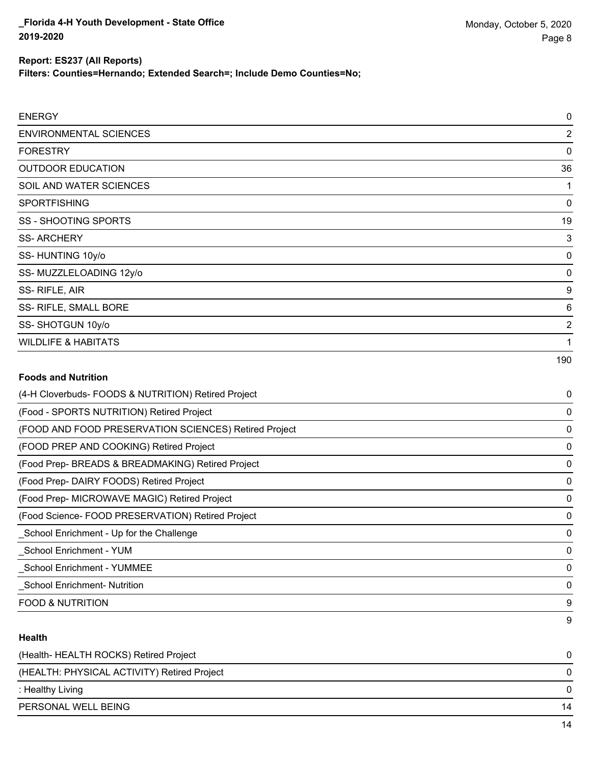**Filters: Counties=Hernando; Extended Search=; Include Demo Counties=No;**

| <b>ENERGY</b>                  | 0              |
|--------------------------------|----------------|
| <b>ENVIRONMENTAL SCIENCES</b>  | $\overline{2}$ |
| <b>FORESTRY</b>                | 0              |
| <b>OUTDOOR EDUCATION</b>       | 36             |
| SOIL AND WATER SCIENCES        |                |
| <b>SPORTFISHING</b>            | 0              |
| <b>SS - SHOOTING SPORTS</b>    | 19             |
| <b>SS-ARCHERY</b>              | 3              |
| SS-HUNTING 10y/o               | 0              |
| SS-MUZZLELOADING 12y/o         | 0              |
| SS-RIFLE, AIR                  | 9              |
| SS- RIFLE, SMALL BORE          | 6              |
| SS-SHOTGUN 10y/o               | 2              |
| <b>WILDLIFE &amp; HABITATS</b> |                |
|                                | 190            |
| <b>Foods and Nutrition</b>     |                |

| (4-H Cloverbuds- FOODS & NUTRITION) Retired Project   | 0        |
|-------------------------------------------------------|----------|
| (Food - SPORTS NUTRITION) Retired Project             | 0        |
| (FOOD AND FOOD PRESERVATION SCIENCES) Retired Project | 0        |
| (FOOD PREP AND COOKING) Retired Project               | 0        |
| (Food Prep- BREADS & BREADMAKING) Retired Project     | 0        |
| (Food Prep- DAIRY FOODS) Retired Project              | 0        |
| (Food Prep- MICROWAVE MAGIC) Retired Project          | 0        |
| (Food Science-FOOD PRESERVATION) Retired Project      | 0        |
| _School Enrichment - Up for the Challenge             | $\Omega$ |
| School Enrichment - YUM                               | 0        |
| <b>School Enrichment - YUMMEE</b>                     | 0        |
| <b>School Enrichment- Nutrition</b>                   | 0        |
| <b>FOOD &amp; NUTRITION</b>                           | 9        |
|                                                       | 9        |

### **Health**

| (Health-HEALTH ROCKS) Retired Project       |    |
|---------------------------------------------|----|
| (HEALTH: PHYSICAL ACTIVITY) Retired Project | 0  |
| : Healthy Living                            | 0  |
| PERSONAL WELL BEING                         | 14 |
|                                             |    |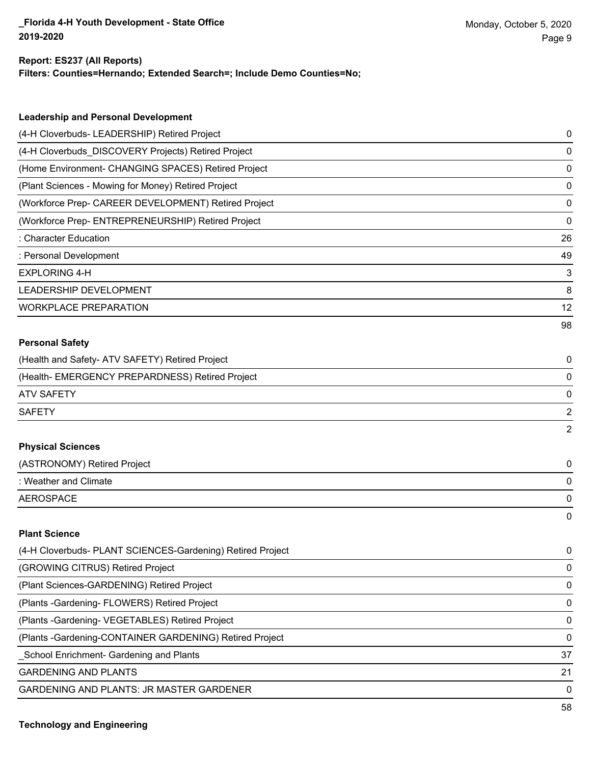**Filters: Counties=Hernando; Extended Search=; Include Demo Counties=No;**

| <b>Leadership and Personal Development</b>                 |    |
|------------------------------------------------------------|----|
| (4-H Cloverbuds- LEADERSHIP) Retired Project               | 0  |
| (4-H Cloverbuds_DISCOVERY Projects) Retired Project        | 0  |
| (Home Environment- CHANGING SPACES) Retired Project        | 0  |
| (Plant Sciences - Mowing for Money) Retired Project        | 0  |
| (Workforce Prep- CAREER DEVELOPMENT) Retired Project       | 0  |
| (Workforce Prep- ENTREPRENEURSHIP) Retired Project         | 0  |
| : Character Education                                      | 26 |
| : Personal Development                                     | 49 |
| <b>EXPLORING 4-H</b>                                       | 3  |
| LEADERSHIP DEVELOPMENT                                     | 8  |
| <b>WORKPLACE PREPARATION</b>                               | 12 |
|                                                            | 98 |
| <b>Personal Safety</b>                                     |    |
| (Health and Safety- ATV SAFETY) Retired Project            | 0  |
| (Health- EMERGENCY PREPARDNESS) Retired Project            | 0  |
| <b>ATV SAFETY</b>                                          | 0  |
| <b>SAFETY</b>                                              | 2  |
|                                                            | 2  |
| <b>Physical Sciences</b>                                   |    |
| (ASTRONOMY) Retired Project                                | 0  |
| : Weather and Climate                                      | 0  |
| <b>AEROSPACE</b>                                           | 0  |
|                                                            | 0  |
| <b>Plant Science</b>                                       |    |
| (4-H Cloverbuds- PLANT SCIENCES-Gardening) Retired Project | 0  |
| (GROWING CITRUS) Retired Project                           | 0  |
| (Plant Sciences-GARDENING) Retired Project                 | 0  |
| (Plants - Gardening - FLOWERS) Retired Project             | 0  |
| (Plants - Gardening - VEGETABLES) Retired Project          | 0  |

(Plants -Gardening-CONTAINER GARDENING) Retired Project 0

Latitude Controllering and Plants 37 and 2012 12:37 and 37 and 37 and 37 and 37 and 37 and 37 and 37 and 37 and 37 and 37 and 37 and 37 and 37 and 37 and 37 and 37 and 37 and 37 and 37 and 37 and 37 and 37 and 37 and 37 an

GARDENING AND PLANTS 21

GARDENING AND PLANTS: JR MASTER GARDENER 0